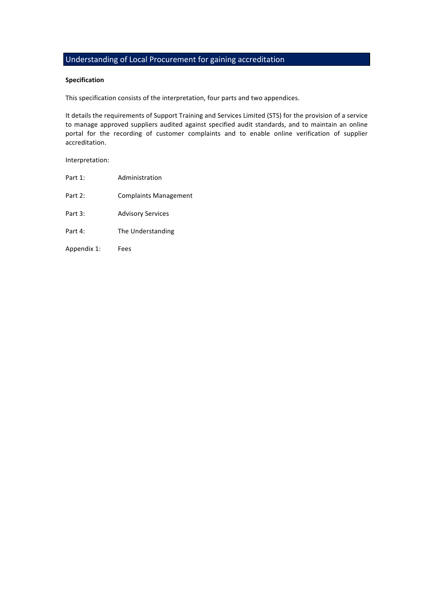# Understanding of Local Procurement for gaining accreditation

### **Specification**

This specification consists of the interpretation, four parts and two appendices.

It details the requirements of Support Training and Services Limited (STS) for the provision of a service to manage approved suppliers audited against specified audit standards, and to maintain an online portal for the recording of customer complaints and to enable online verification of supplier accreditation.

Interpretation:

| Part 1:     | Administration               |
|-------------|------------------------------|
| Part 2:     | <b>Complaints Management</b> |
| Part 3:     | <b>Advisory Services</b>     |
| Part 4:     | The Understanding            |
| Appendix 1: | Fees                         |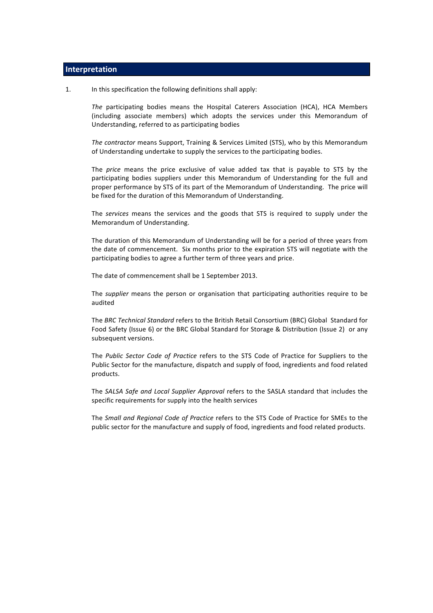# **Interpretation**

1. In this specification the following definitions shall apply:

The participating bodies means the Hospital Caterers Association (HCA), HCA Members (including associate members) which adopts the services under this Memorandum of Understanding, referred to as participating bodies

The contractor means Support, Training & Services Limited (STS), who by this Memorandum of Understanding undertake to supply the services to the participating bodies.

The *price* means the price exclusive of value added tax that is payable to STS by the participating bodies suppliers under this Memorandum of Understanding for the full and proper performance by STS of its part of the Memorandum of Understanding. The price will be fixed for the duration of this Memorandum of Understanding.

The *services* means the services and the goods that STS is required to supply under the Memorandum of Understanding.

The duration of this Memorandum of Understanding will be for a period of three years from the date of commencement. Six months prior to the expiration STS will negotiate with the participating bodies to agree a further term of three years and price.

The date of commencement shall be 1 September 2013.

The *supplier* means the person or organisation that participating authorities require to be audited

The *BRC Technical Standard* refers to the British Retail Consortium (BRC) Global Standard for Food Safety (Issue 6) or the BRC Global Standard for Storage & Distribution (Issue 2) or any subsequent versions.

The *Public Sector Code of Practice* refers to the STS Code of Practice for Suppliers to the Public Sector for the manufacture, dispatch and supply of food, ingredients and food related products.

The *SALSA Safe and Local Supplier Approval* refers to the SASLA standard that includes the specific requirements for supply into the health services

The *Small and Regional Code of Practice* refers to the STS Code of Practice for SMEs to the public sector for the manufacture and supply of food, ingredients and food related products.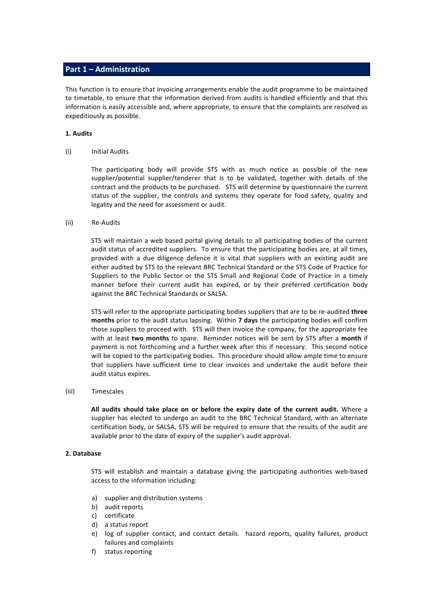# **Part 1 – Administration**

This function is to ensure that invoicing arrangements enable the audit programme to be maintained to timetable, to ensure that the information derived from audits is handled efficiently and that this information is easily accessible and, where appropriate, to ensure that the complaints are resolved as expeditiously as possible.

### **1. Audits**

#### (i) Initial Audits

The participating body will provide STS with as much notice as possible of the new supplier/potential supplier/tenderer that is to be validated, together with details of the contract and the products to be purchased. STS will determine by questionnaire the current status of the supplier, the controls and systems they operate for food safety, quality and legality and the need for assessment or audit.

#### (ii) Re-Audits

STS will maintain a web based portal giving details to all participating bodies of the current audit status of accredited suppliers. To ensure that the participating bodies are, at all times, provided with a due diligence defence it is vital that suppliers with an existing audit are either audited by STS to the relevant BRC Technical Standard or the STS Code of Practice for Suppliers to the Public Sector or the STS Small and Regional Code of Practice in a timely manner before their current audit has expired, or by their preferred certification body against the BRC Technical Standards or SALSA.

STS will refer to the appropriate participating bodies suppliers that are to be re-audited **three months** prior to the audit status lapsing. Within **7 days** the participating bodies will confirm those suppliers to proceed with. STS will then invoice the company, for the appropriate fee with at least two months to spare. Reminder notices will be sent by STS after a month if payment is not forthcoming and a further week after this if necessary. This second notice will be copied to the participating bodies. This procedure should allow ample time to ensure that suppliers have sufficient time to clear invoices and undertake the audit before their audit status expires.

#### (iii) Timescales

All audits should take place on or before the expiry date of the current audit. Where a supplier has elected to undergo an audit to the BRC Technical Standard, with an alternate certification body, or SALSA, STS will be required to ensure that the results of the audit are available prior to the date of expiry of the supplier's audit approval.

### **2. Database**

STS will establish and maintain a database giving the participating authorities web-based access to the information including:

- a) supplier and distribution systems
- b) audit reports
- c) certificate
- d) a status report
- e) log of supplier contact, and contact details. hazard reports, quality failures, product failures and complaints
- f) status reporting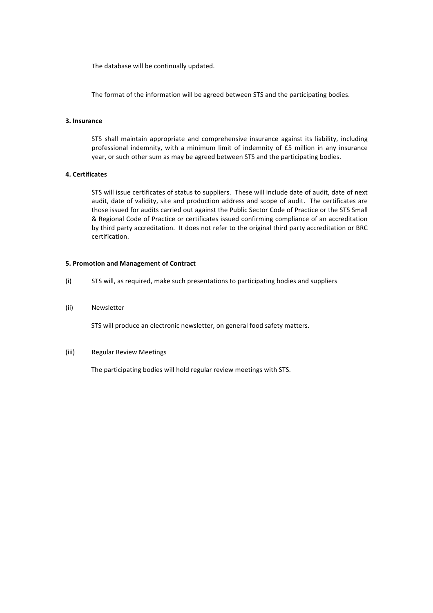The database will be continually updated.

The format of the information will be agreed between STS and the participating bodies.

#### **3. Insurance**

STS shall maintain appropriate and comprehensive insurance against its liability, including professional indemnity, with a minimum limit of indemnity of £5 million in any insurance year, or such other sum as may be agreed between STS and the participating bodies.

# **4. Certificates**

STS will issue certificates of status to suppliers. These will include date of audit, date of next audit, date of validity, site and production address and scope of audit. The certificates are those issued for audits carried out against the Public Sector Code of Practice or the STS Small & Regional Code of Practice or certificates issued confirming compliance of an accreditation by third party accreditation. It does not refer to the original third party accreditation or BRC certification.

#### **5. Promotion and Management of Contract**

- (i) STS will, as required, make such presentations to participating bodies and suppliers
- (ii) Newsletter

STS will produce an electronic newsletter, on general food safety matters.

#### (iii) Regular Review Meetings

The participating bodies will hold regular review meetings with STS.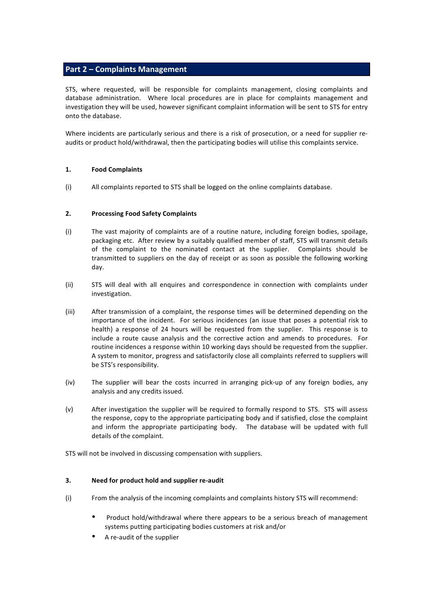# **Part 2 – Complaints Management**

STS, where requested, will be responsible for complaints management, closing complaints and database administration. Where local procedures are in place for complaints management and investigation they will be used, however significant complaint information will be sent to STS for entry onto the database.

Where incidents are particularly serious and there is a risk of prosecution, or a need for supplier reaudits or product hold/withdrawal, then the participating bodies will utilise this complaints service.

## **1. Food Complaints**

(i) All complaints reported to STS shall be logged on the online complaints database.

## **2. Processing Food Safety Complaints**

- (i) The vast majority of complaints are of a routine nature, including foreign bodies, spoilage, packaging etc. After review by a suitably qualified member of staff, STS will transmit details of the complaint to the nominated contact at the supplier. Complaints should be transmitted to suppliers on the day of receipt or as soon as possible the following working day.
- (ii) STS will deal with all enquires and correspondence in connection with complaints under investigation.
- (iii) After transmission of a complaint, the response times will be determined depending on the importance of the incident. For serious incidences (an issue that poses a potential risk to health) a response of 24 hours will be requested from the supplier. This response is to include a route cause analysis and the corrective action and amends to procedures. For routine incidences a response within 10 working days should be requested from the supplier. A system to monitor, progress and satisfactorily close all complaints referred to suppliers will be STS's responsibility.
- (iv) The supplier will bear the costs incurred in arranging pick-up of any foreign bodies, any analysis and any credits issued.
- (v) After investigation the supplier will be required to formally respond to STS. STS will assess the response, copy to the appropriate participating body and if satisfied, close the complaint and inform the appropriate participating body. The database will be updated with full details of the complaint.

STS will not be involved in discussing compensation with suppliers.

### **3.** Need for product hold and supplier re-audit

- (i) From the analysis of the incoming complaints and complaints history STS will recommend:
	- Product hold/withdrawal where there appears to be a serious breach of management systems putting participating bodies customers at risk and/or
	- A re-audit of the supplier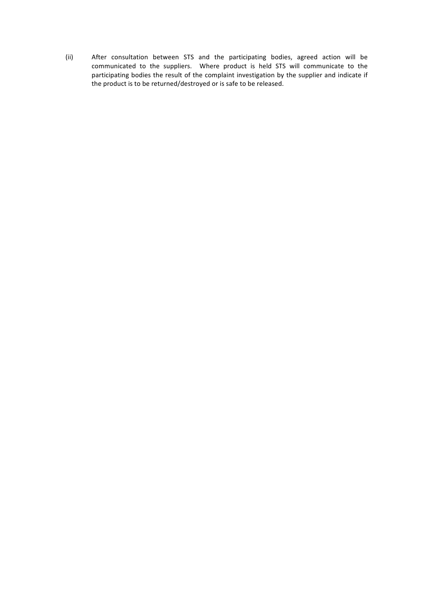(ii) After consultation between STS and the participating bodies, agreed action will be communicated to the suppliers. Where product is held STS will communicate to the participating bodies the result of the complaint investigation by the supplier and indicate if the product is to be returned/destroyed or is safe to be released.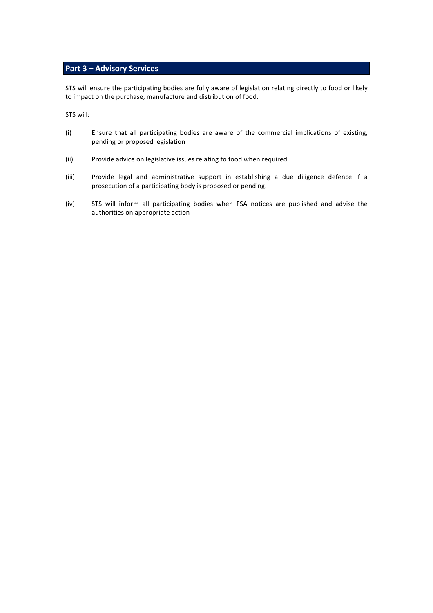# **Part 3 – Advisory Services**

STS will ensure the participating bodies are fully aware of legislation relating directly to food or likely to impact on the purchase, manufacture and distribution of food.

STS will:

- (i) Ensure that all participating bodies are aware of the commercial implications of existing, pending or proposed legislation
- (ii) Provide advice on legislative issues relating to food when required.
- (iii) Provide legal and administrative support in establishing a due diligence defence if a prosecution of a participating body is proposed or pending.
- (iv) STS will inform all participating bodies when FSA notices are published and advise the authorities on appropriate action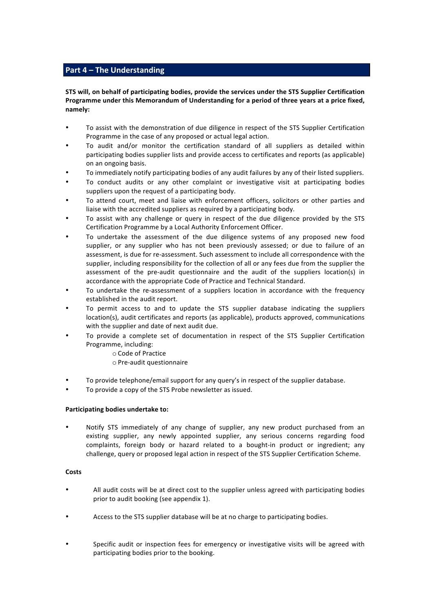# **Part 4 – The Understanding**

**STS** will, on behalf of participating bodies, provide the services under the STS Supplier Certification Programme under this Memorandum of Understanding for a period of three years at a price fixed, **namely:**

- To assist with the demonstration of due diligence in respect of the STS Supplier Certification Programme in the case of any proposed or actual legal action.
- To audit and/or monitor the certification standard of all suppliers as detailed within participating bodies supplier lists and provide access to certificates and reports (as applicable) on an ongoing basis.
- To immediately notify participating bodies of any audit failures by any of their listed suppliers.
- To conduct audits or any other complaint or investigative visit at participating bodies suppliers upon the request of a participating body.
- To attend court, meet and liaise with enforcement officers, solicitors or other parties and liaise with the accredited suppliers as required by a participating body.
- To assist with any challenge or query in respect of the due diligence provided by the STS Certification Programme by a Local Authority Enforcement Officer.
- To undertake the assessment of the due diligence systems of any proposed new food supplier, or any supplier who has not been previously assessed; or due to failure of an assessment, is due for re-assessment. Such assessment to include all correspondence with the supplier, including responsibility for the collection of all or any fees due from the supplier the assessment of the pre-audit questionnaire and the audit of the suppliers location(s) in accordance with the appropriate Code of Practice and Technical Standard.
- To undertake the re-assessment of a suppliers location in accordance with the frequency established in the audit report.
- To permit access to and to update the STS supplier database indicating the suppliers location(s), audit certificates and reports (as applicable), products approved, communications with the supplier and date of next audit due.
- To provide a complete set of documentation in respect of the STS Supplier Certification Programme, including:
	- o Code of Practice
		- o Pre-audit questionnaire
- To provide telephone/email support for any query's in respect of the supplier database.
- To provide a copy of the STS Probe newsletter as issued.

### **Participating bodies undertake to:**

Notify STS immediately of any change of supplier, any new product purchased from an existing supplier, any newly appointed supplier, any serious concerns regarding food complaints, foreign body or hazard related to a bought-in product or ingredient; any challenge, query or proposed legal action in respect of the STS Supplier Certification Scheme.

### **Costs**

- All audit costs will be at direct cost to the supplier unless agreed with participating bodies prior to audit booking (see appendix 1).
- Access to the STS supplier database will be at no charge to participating bodies.
- Specific audit or inspection fees for emergency or investigative visits will be agreed with participating bodies prior to the booking.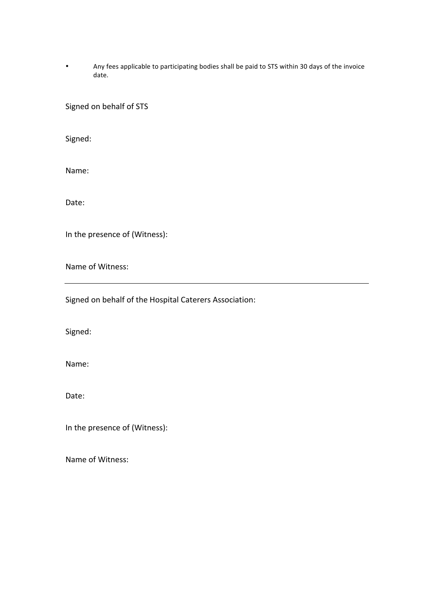• Any fees applicable to participating bodies shall be paid to STS within 30 days of the invoice date.

Signed on behalf of STS

Signed:

Name:

Date:

In the presence of (Witness):

Name of Witness:

Signed on behalf of the Hospital Caterers Association:

Signed:

Name:

Date:

In the presence of (Witness):

Name of Witness: